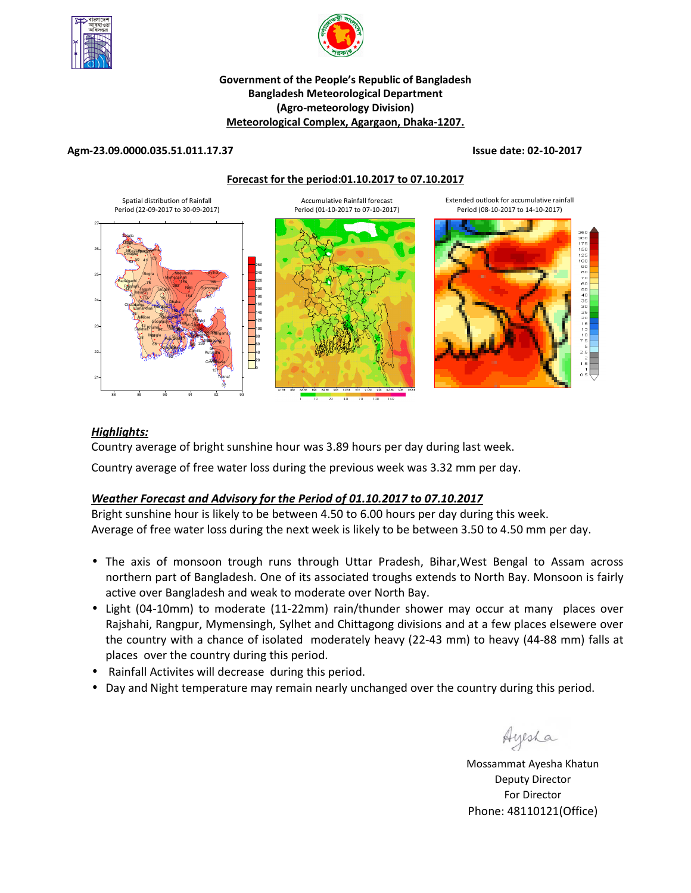



#### **Government of the People's Republic of Bangladesh Bangladesh Meteorological Department (Agro-meteorology Division) Meteorological Complex, Agargaon, Dhaka-1207.**

#### **Agm-23.09.0000.035.51.011.17.37 Issue date: 02-10-2017**

**Forecast for the period:01.10.2017 to 07.10.2017**



#### *Highlights:*

Country average of bright sunshine hour was 3.89 hours per day during last week.

Country average of free water loss during the previous week was 3.32 mm per day.

# *Weather Forecast and Advisory for the Period of 01.10.2017 to 07.10.2017*

Bright sunshine hour is likely to be between 4.50 to 6.00 hours per day during this week. Average of free water loss during the next week is likely to be between 3.50 to 4.50 mm per day.

- The axis of monsoon trough runs through Uttar Pradesh, Bihar,West Bengal to Assam across northern part of Bangladesh. One of its associated troughs extends to North Bay. Monsoon is fairly active over Bangladesh and weak to moderate over North Bay.
- Light (04-10mm) to moderate (11-22mm) rain/thunder shower may occur at many places over Rajshahi, Rangpur, Mymensingh, Sylhet and Chittagong divisions and at a few places elsewere over the country with a chance of isolated moderately heavy (22-43 mm) to heavy (44-88 mm) falls at places over the country during this period.
- Rainfall Activites will decrease during this period.
- Day and Night temperature may remain nearly unchanged over the country during this period.

Ayesha

**N.B** Mossammat Ayesha Khatun Deputy Director For Director Phone: 48110121(Office)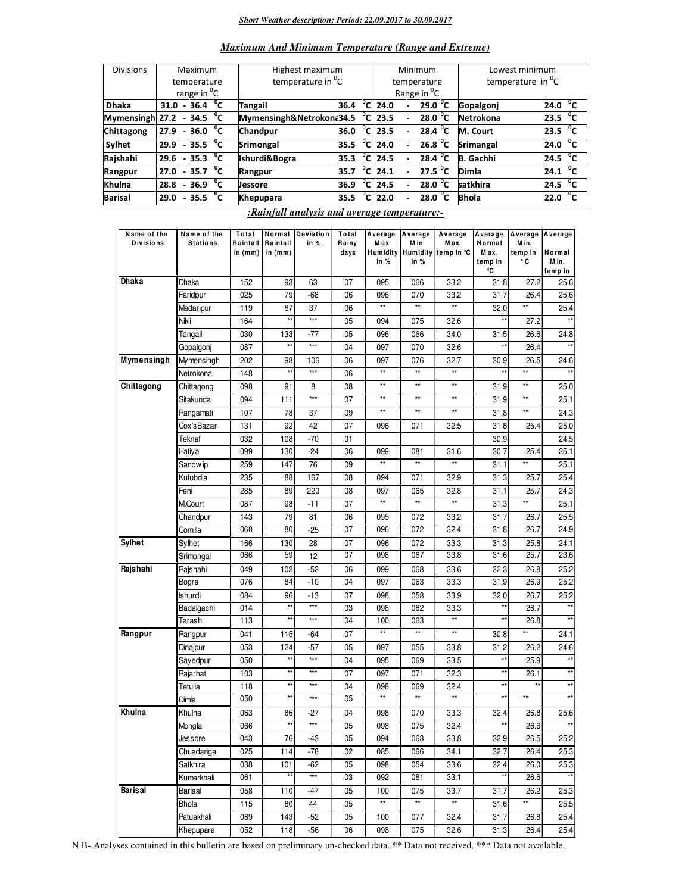#### *Short Weather description; Period: 22.09.2017 to 30.09.2017*

| <b>Maximum And Minimum Temperature (Range and Extreme)</b> |  |  |  |  |  |
|------------------------------------------------------------|--|--|--|--|--|
|------------------------------------------------------------|--|--|--|--|--|

| <b>Divisions</b>                   | Maximum                 |                          |  |  | Highest maximum               |                        |              |                       |                          | Minimum                 | Lowest minimum       |                   |              |
|------------------------------------|-------------------------|--------------------------|--|--|-------------------------------|------------------------|--------------|-----------------------|--------------------------|-------------------------|----------------------|-------------------|--------------|
|                                    | temperature             |                          |  |  | temperature in <sup>0</sup> C |                        |              |                       |                          | temperature             | temperature in $^0C$ |                   |              |
|                                    | range in <sup>o</sup> C |                          |  |  |                               |                        |              |                       |                          | Range in <sup>O</sup> C |                      |                   |              |
| <b>Dhaka</b>                       |                         | 31.0 - 36.4 $^{\circ}$ C |  |  | <b>Tangail</b>                | 36.4                   |              | $\overline{^0C}$ 24.0 | $\overline{a}$           | 29.0 $^{\circ}$ C       | Gopalgoni            | 24.0              | $^{\circ}$ c |
| Mymensingh 27.2 - 34.5 $\degree$ C |                         |                          |  |  | Mymensingh&Netrokona34.5      |                        |              | $^{\circ}$ C 23.5     |                          | 28.0 $^{\circ}$ C       | Netrokona            | 23.5 $^{0}C$      |              |
| <b>Chittagong</b>                  |                         | $27.9 - 36.0 °C$         |  |  | Chandpur                      | 36.0                   | °c           | 23.5                  | ٠                        | 28.4 $^{\circ}$ C       | M. Court             | 23.5 $^{0}C$      |              |
| Sylhet                             |                         | $29.9 - 35.5 °C$         |  |  | Srimongal                     | 35.5 $^{\circ}$ C 24.0 |              |                       | $\blacksquare$           | 26.8 $^{\circ}$ C       | <b>Srimangal</b>     | 24.0              | $^{\circ}$ c |
| Rajshahi                           |                         | $29.6 - 35.3$ C          |  |  | Ishurdi&Bogra                 | 35.3                   | °c           | 24.5                  | $\overline{a}$           | 28.4 $^{\circ}$ C       | <b>B.</b> Gachhi     | 24.5 $^{\circ}$ C |              |
| Rangpur                            |                         | $27.0 - 35.7 °C$         |  |  | Rangpur                       | 35.7                   | $^{\circ}$ c | 24.1                  | $\overline{\phantom{0}}$ | 27.5 $^{\circ}$ C       | Dimla                | 24.1              | $^{\circ}$ c |
| Khulna                             |                         | $28.8 - 36.9$ °C         |  |  | <b>Jessore</b>                | 36.9                   | $^{\circ}$ c | 24.5                  |                          | 28.0 °C                 | satkhira             | 24.5              | $^{\circ}$ c |
| <b>Barisal</b>                     | 29.0                    | $-35.5\text{ °C}$        |  |  | <b>Khepupara</b>              | 35.5                   | $^{\circ}$ c | 22.0                  |                          | 28.0 $^{\circ}$ C       | <b>Bhola</b>         | 22.0              | $^{\circ}$ c |

*:Rainfall analysis and average temperature:-*

| Name of the      | Name of the     | Total     |                 | Normal Deviation  | Total | Average         | Average      | Average                      | Average          | Average         | Average         |
|------------------|-----------------|-----------|-----------------|-------------------|-------|-----------------|--------------|------------------------------|------------------|-----------------|-----------------|
| <b>Divisions</b> | <b>Stations</b> | Rainfall  | Rainfall        | in %              | Rainy | M ax            | M in         | M ax.                        | Normal           | M in.           |                 |
|                  |                 | in $(mm)$ | in $(mm)$       |                   | days  | in %            | in %         | Humidity Humidity temp in °C | M ax.<br>temp in | temp in<br>۰c   | Normal<br>M in. |
|                  |                 |           |                 |                   |       |                 |              |                              | ۰C               |                 | temp in         |
| Dhaka            | Dhaka           | 152       | 93              | 63                | 07    | 095             | 066          | 33.2                         | 31.8             | 27.2            | 25.6            |
|                  | Faridpur        | 025       | 79              | -68               | 06    | 096             | 070          | 33.2                         | 31.7             | 26.4            | 25.6            |
|                  | Madaripur       | 119       | 87              | 37                | 06    | $\star\star$    | **           | $\star\star$                 | 32.0             | **              | 25.4            |
|                  | Nikli           | 164       | $\star\star$    | $***$             | 05    | 094             | 075          | 32.6                         | $^{\star\star}$  | 27.2            |                 |
|                  | Tangail         | 030       | 133             | $-77$             | 05    | 096             | 066          | 34.0                         | 31.5             | 26.6            | 24.8            |
|                  | Gopalgonj       | 087       | $\star\star$    | $***$             | 04    | 097             | 070          | 32.6                         |                  | 26.4            |                 |
| Mymensingh       | Mymensingh      | 202       | 98              | 106               | 06    | 097             | 076          | 32.7                         | 30.9             | 26.5            | 24.6            |
|                  | Netrokona       | 148       | $\star\star$    | $***$             | 06    | $\star\star$    | $\star\star$ | $\star\star$                 | $\star\star$     | $^{\star\star}$ |                 |
| Chittagong       | Chittagong      | 098       | 91              | 8                 | 08    | $\star\star$    | **           | $\star\star$                 | 31.9             | $\star\star$    | 25.0            |
|                  | Sitakunda       | 094       | 111             | ***               | 07    | $\star\star$    | **           | $\star\star$                 | 31.9             | $^{\star\star}$ | 25.1            |
|                  | Rangamati       | 107       | 78              | 37                | 09    | $\star\star$    | $\star\star$ | $\star\star$                 | 31.8             | $^{\star\star}$ | 24.3            |
|                  | Cox'sBazar      | 131       | 92              | 42                | 07    | 096             | 071          | 32.5                         | 31.8             | 25.4            | 25.0            |
|                  | Teknaf          | 032       | 108             | $-70$             | 01    |                 |              |                              | 30.9             |                 | 24.5            |
|                  | Hatiya          | 099       | 130             | $-24$             | 06    | 099             | 081          | 31.6                         | 30.7             | 25.4            | 25.1            |
|                  | Sandw ip        | 259       | 147             | 76                | 09    | $^{\star\star}$ | $\star\star$ | $\star\star$                 | 31.1             | $^{\star\star}$ | 25.1            |
|                  | Kutubdia        | 235       | 88              | 167               | 08    | 094             | 071          | 32.9                         | 31.3             | 25.7            | 25.4            |
|                  | Feni            | 285       | 89              | 220               | 08    | 097             | 065          | 32.8                         | 31.1             | 25.7            | 24.3            |
|                  | M.Court         | 087       | 98              | $-11$             | 07    | $^{\star\star}$ | **           | $^{\star\star}$              | 31.3             | **              | 25.1            |
|                  | Chandpur        | 143       | 79              | 81                | 06    | 095             | 072          | 33.2                         | 31.7             | 26.7            | 25.5            |
|                  | Comilla         | 060       | 80              | $-25$             | 07    | 096             | 072          | 32.4                         | 31.8             | 26.7            | 24.9            |
| <b>Sylhet</b>    | Sylhet          | 166       | 130             | 28                | 07    | 096             | 072          | 33.3                         | 31.3             | 25.8            | 24.1            |
|                  | Srimongal       | 066       | 59              | 12                | 07    | 098             | 067          | 33.8                         | 31.6             | 25.7            | 23.6            |
| Rajshahi         | Rajshahi        | 049       | 102             | $-52$             | 06    | 099             | 068          | 33.6                         | 32.3             | 26.8            | 25.2            |
|                  | Bogra           | 076       | 84              | $-10$             | 04    | 097             | 063          | 33.3                         | 31.9             | 26.9            | 25.2            |
|                  | Ishurdi         | 084       | 96              | $-13$             | 07    | 098             | 058          | 33.9                         | 32.0             | 26.7            | 25.2            |
|                  | Badalgachi      | 014       | $\star\star$    | $***$             | 03    | 098             | 062          | 33.3                         | **               | 26.7            | $**$            |
|                  | Tarash          | 113       | $\star\star$    | $***$             | 04    | 100             | 063          | **                           | **               | 26.8            | $\star\star$    |
| Rangpur          | Rangpur         | 041       | 115             | $-64$             | 07    | $^{\star\star}$ | $\star\star$ | $\star\star$                 | 30.8             | **              | 24.1            |
|                  | Dinajpur        | 053       | 124             | $-57$             | 05    | 097             | 055          | 33.8                         | 31.2             | 26.2            | 24.6            |
|                  | Sayedpur        | 050       | $\star\star$    | $***$             | 04    | 095             | 069          | 33.5                         | $\star\star$     | 25.9            | $**$            |
|                  | Rajarhat        | 103       | $\star\star$    | $***$             | 07    | 097             | 071          | 32.3                         | $\star\star$     | 26.1            | $\star\star$    |
|                  | Tetulia         | 118       | $\star\star$    | $***$             | 04    | 098             | 069          | 32.4                         | $\star\star$     | $***$           | **              |
|                  | Dimla           | 050       | $\star\star$    | $***$             | 05    | $\star\star$    | **           | $\star\star$                 | $\star$          | $\star\star$    | $\star\star$    |
| Khulna           | Khulna          | 063       | 86              | -27               | 04    | 098             | 070          | 33.3                         | 32.4             | 26.8            | 25.6            |
|                  | Mongla          | 066       | $\star\star$    | $***$             | 05    | 098             | 075          | 32.4                         | $\star\star$     | 26.6            | **              |
|                  | Jessore         | 043       | 76              | -43               | 05    | 094             | 063          | 33.8                         | 32.9             | 26.5            | 25.2            |
|                  | Chuadanga       | 025       | 114             | $-78$             | 02    | 085             | 066          | 34.1                         | 32.7             | 26.4            | 25.3            |
|                  | Satkhira        | 038       | 101             | $-62$             | 05    | 098             | 054          | 33.6                         | 32.4             | 26.0            | 25.3            |
|                  | Kumarkhali      | 061       | $^{\star\star}$ | $\star\star\star$ | 03    | 092             | 081          | 33.1                         | $^{\star\star}$  | 26.6            |                 |
| Barisal          | Barisal         | 058       | 110             | -47               | 05    | 100             | 075          | 33.7                         | 31.7             | 26.2            | 25.3            |
|                  | Bhola           | 115       | 80              | 44                | 05    | $\star\star$    | **           | **                           | 31.6             | **              | 25.5            |
|                  | Patuakhali      | 069       | 143             | $-52$             | 05    | 100             | 077          | 32.4                         | 31.7             | 26.8            | 25.4            |
|                  | Khepupara       | 052       | 118             | $-56$             | 06    | 098             | 075          | 32.6                         | 31.3             | 26.4            | 25.4            |

N.B-.Analyses contained in this bulletin are based on preliminary un-checked data. \*\* Data not received. \*\*\* Data not available.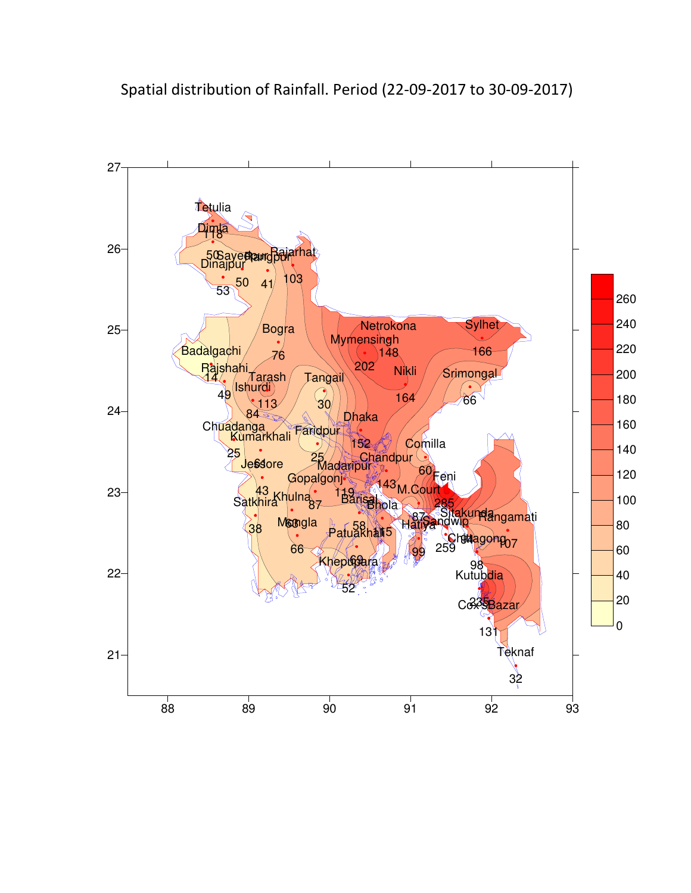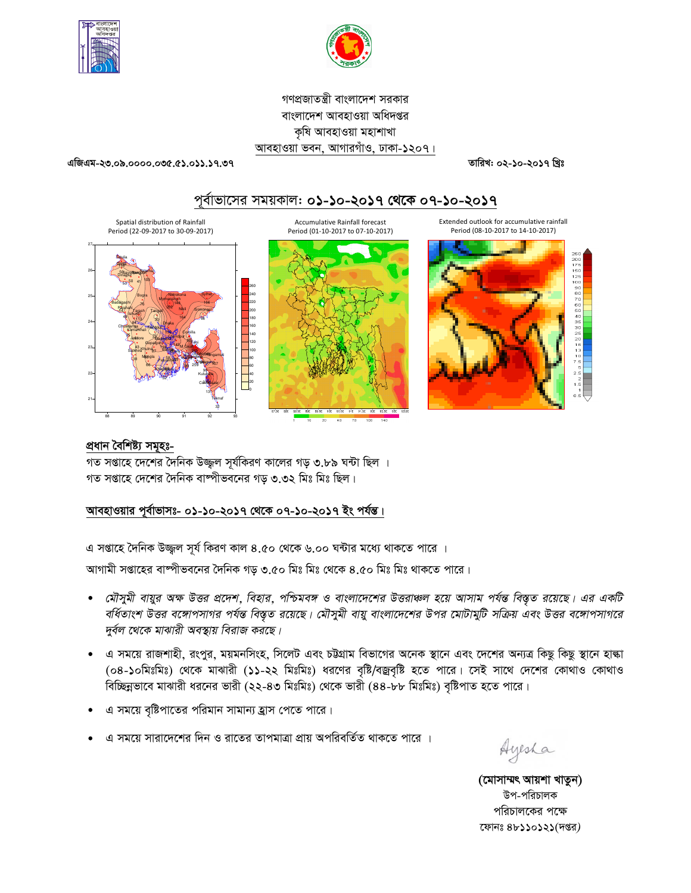



গণপ্রজাতন্ত্রী বাংলাদেশ সরকার বাংলাদেশ আবহাওয়া অধিদপ্তর কষি আবহাওয়া মহাশাখা আবহাওয়া ভবন, আগারগাঁও, ঢাকা-১২০৭।

এজিএম-২৩.০৯.০০০০.০৩৫.৫১.০১১.১৭.৩৭

তারিখ: ০২-১০-২০১৭ খ্রিঃ





### প্ৰধান বৈশিষ্ট্য সমূহঃ-

গত সপ্তাহে দেশের দৈনিক উজ্জল সূর্যকিরণ কালের গড় ৩.৮৯ ঘন্টা ছিল । গত সপ্তাহে দেশের দৈনিক বাষ্পীভবনের গড় ৩.৩২ মিঃ মিঃ ছিল।

# আবহাওয়ার পূর্বাভাসঃ- ০১-১০-২০১৭ থেকে ০৭-১০-২০১৭ ইং পর্যন্ত।

এ সপ্তাহে দৈনিক উজ্জুল সূর্য কিরণ কাল ৪.৫০ থেকে ৬.০০ ঘন্টার মধ্যে থাকতে পারে ।

আগামী সপ্তাহের বাঙ্গীভবনের দৈনিক গড় ৩.৫০ মিঃ মিঃ থেকে ৪.৫০ মিঃ মিঃ থাকতে পারে।

- মৌসুমী বায়ুর অক্ষ উত্তর প্রদেশ, বিহার, পশ্চিমবঙ্গ ও বাংলাদেশের উত্তরাঞ্চল হয়ে আসাম পর্যন্ত বিস্তৃত রয়েছে। এর একটি বর্ধিতাংশ উত্তর বঙ্গোপসাগর পর্যন্ত বিস্তৃত রয়েছে। মৌসুমী বায়ু বাংলাদেশের উপর মোটামুটি সক্রিয় এবং উত্তর বঙ্গোপসাগরে দুর্বল থেকে মাঝারী অবস্থায় বিরাজ করছে।
- ্এ সময়ে রাজশাহী, রংপুর, ময়মনসিংহ, সিলেট এবং চট্টগ্রাম বিভাগের অনেক স্থানে এবং দেশের অন্যত্র কিছু কিছু স্থানে হাল্কা (০৪-১০মিঃমিঃ) থেকে মাঝারী (১১-২২ মিঃমিঃ) ধরণের বৃষ্টি/বজ্রবৃষ্টি হতে পারে। সেই সাথে দেশের কোথাও কোথাও বিচ্ছিন্নভাবে মাঝারী ধরনের ভারী (২২-৪৩ মিঃমিঃ) থেকে ভারী (৪৪-৮৮ মিঃমিঃ) বৃষ্টিপাত হতে পারে।
- এ সময়ে বৃষ্টিপাতের পরিমান সামান্য হ্রাস পেতে পারে।
- এ সময়ে সারাদেশের দিন ও রাতের তাপমাত্রা প্রায় অপরিবর্তিত থাকতে পারে ।

Ayesha

(মোসাম্মৎ আয়শা খাতুন) উপ-পরিচালক পরিচালকের পক্ষে ফোনঃ ৪৮১১০১২১(দপ্তর)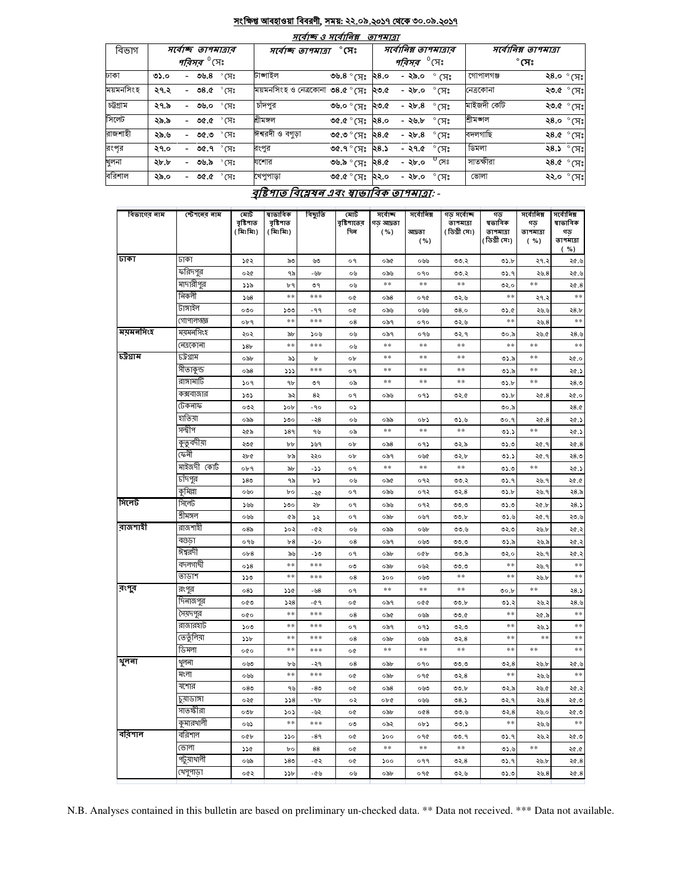#### <u>সংক্ষিপ্ত আবহাওয়া বিবরণী, সময়: ২২.০৯.২০১৭ থেকে ৩০.০৯.২০১৭</u>  $\overline{\phantom{a}}$

|           |      |                               |                | $7(9)$ Q $7(9)$                               |                                    | <i>שומיים</i> |                               |                      |             |              |                     |
|-----------|------|-------------------------------|----------------|-----------------------------------------------|------------------------------------|---------------|-------------------------------|----------------------|-------------|--------------|---------------------|
| বিভাগ     |      | সৰ্বোচ্ছ তাপমাত্ৰাৰ           |                | সর্বোচ্ছ ত্রাপমাত্রা                          |                                    |               | সর্বোনিম্ন তাপমাত্রার         | সর্বোনিম্ন তাপমাত্রা |             |              |                     |
|           |      | <i>পরিসর <sup>৩</sup></i> সেঃ |                |                                               |                                    |               | <i>পরিসর <sup>৩</sup></i> সেঃ |                      |             | $^\circ$ সেঃ |                     |
| ঢাকা      | ৩১.০ | - ৩৬.৪ ° সেঃ                  |                | টাঙ্গাইল                                      | ৩৬.৪ $^{\circ}$ (সঃ ২৪.০           |               | - ২৯.০                        | $^{\circ}$ (সঃ       | গোপালগঞ্জ   |              | ২8.০ $^{\circ}$ (সঃ |
| ময়মনসিংহ | ২৭.২ | - ৩৪.৫ ° সেঃ                  |                | ময়মনসিংহ ও নেত্ৰকোনা ৩৪.৫ ° সেঃ <b>২৩.</b> ৫ |                                    |               | - ২৮.০                        | $^{\circ}$ সেঃ       | নেত্ৰকোনা   |              | ২৩.৫ ° সেঃ          |
| চট্টগ্ৰাম | ২৭.৯ | - ৩৬.০                        | $^{\circ}$ সেঃ | চাঁদপুর                                       | ৩৬.০ ° মেঃ  ২৩.৫                   |               | - ২৮.৪                        | °সেঃ                 | মাইজদী কেটি |              | ২৩.৫ ° সেঃ          |
| সিলেট     | ২৯.৯ | - ৩৫.৫ $\degree$ সেঃ          |                | শ্ৰীমঙ্গল                                     | $0.85$ $\,$ $\rm{3.30}$            |               | - ২৬.৮                        | $\degree$ মেঃ        | শ্ৰীমজ্ঞাল  |              | ংম)° <b>0.8</b> ۶   |
| রাজশাহী   | ২৯.৬ | - ৩৫.৩                        | $^{\circ}$ মেঃ | ঈশ্বরদী ও বগড়া                               | $9.85$ $\,$ $\rm{3F}$ $\circ$ 0.30 |               | - ২৮.৪                        | $^\circ$ (ਸਃ         | বদলগাছি     |              | ২৪.৫ ° সেঃ          |
| রংপূর     | ২৭.০ | - ৩৫.৭ $\degree$ সেঃ          |                | রংপুর                                         | ৩৫.৭ ° সেঃ                         | ২৪.১          |                               | - ২৭.৫ $\degree$ সেঃ | ডিমলা       |              | ২8.১ ° সেঃ          |
| খুলনা     | ২৮.৮ | - ৩৬.৯                        | $^{\circ}$ মেঃ | যশোর                                          | ৩৬.৯ ° সেঃ                         | ২৪.৫          | - ২৮.০                        | $^0$ সেঃ             | সাতক্ষীরা   |              | ংম) $^{\circ}$ ১.৪২ |
| বরিশাল    | ২৯.০ | - ৩৫.৫ $^{\circ}$ সেঃ         |                | খেপুপাড়া                                     | ৩৫.৫ $^{\circ}$ সেঃ ২২.০           |               | - ২৮.০                        | $^\circ$ সেঃ         | ভোলা        |              | ২২.০ ° সেঃ          |

#### <u>বৃষ্টিপাত বিশ্লেষন এবং স্বাভাবিক তাপমাত্রা</u>: -

| বিভাগের নাম | স্টেশনের নাম | মোট<br>বৃষ্টিপাত    | ষাভাবিক<br>বৃষ্টিপাত | বিছ্যুতি  | মোট<br>বৃষ্টিশাতের | সৰ্বোচ্ছ<br>গড় আদ্রতা | সৰ্বোনিম্ন      | গড় সৰ্বোচ্ছ<br>তাপমাত্রা | গড<br>ষভাবিক  | সৰ্বোনিম্ন<br>গড় | সৰ্বোনিম্ন<br>ষাভাবিক |
|-------------|--------------|---------------------|----------------------|-----------|--------------------|------------------------|-----------------|---------------------------|---------------|-------------------|-----------------------|
|             |              | (মিঃমিঃ)            | (মিঃমিঃ)             |           | দিন                | ( %)                   | আদ্ৰতা          | ( ডিগ্ৰী সেঃ)             | তাপমাত্রা     | তাপমাত্রা         | গড                    |
|             |              |                     |                      |           |                    |                        | ( %)            |                           | (ডিগ্ৰী সেঃ)  | ( %)              | তাপমাত্রা<br>( %)     |
| ঢাকা        | ঢাকা         | ১৫২                 | ৯৩                   | ৬৩        | ०१                 | ০৯৫                    | ০৬৬             | ৩৩.২                      | ৩১.৮          | ২৭.২              | ২৫.৬                  |
|             | ফরিদপুর      | ০২৫                 | ৭৯                   | -৬৮       | ০৬                 | ০৯৬                    | 090             | ৩৩.২                      | ৩১.৭          | 20.8              | ୬. ১২                 |
|             | মাদারীপুর    | ১১৯                 | ৮৭                   | ৩৭        | ০৬                 | $\ast$ $\ast$          | **              | $\ast\ast$                | ৩২.০          | $\ast\ast$        | 20.8                  |
|             | নিকলী        | 508                 | $**$                 | ***       | o¢                 | ం ని8                  | ०१৫             | ৩২.৬                      | $**$          | ২৭.২              | $**$                  |
|             | টাঙ্গাইল     | ೲ                   | ১৩৩                  | -99       | o¢                 | ০৯৬                    | ০৬৬             | 08.0                      | 05.0          | ২৬.৬              | 28.b                  |
|             | গোপালগজ্ঞ    | ०৮৭                 | $*$                  | ***       | $\circ$ 8          | ০৯৭                    | oqo             | ৩২.৬                      | **            | ২৬.8              | $\ast\ast$            |
| ময়মনসিংহ   | ময়মনসিংহ    | ২০২                 | $\delta b$           | ১০৬       | ০৬                 | ০৯৭                    | ০৭৬             | ৩২.৭                      | ৩০.৯          | ২৬.৫              | ২8.৬                  |
|             | নেত্ৰকোনা    | 58 <sub>b</sub>     | $**$                 | ***       | ০৬                 | $\ast$ $\ast$          | $**$            | $\ast\ast$                | $\ast$ $\ast$ | $**$              | $*$                   |
| চট্ৰগ্ৰাম   | ঢট্রগ্রাম    | ০৯৮                 | ৯১                   | Ъ         | o <sub>b</sub>     | $* *$                  | **              | **                        | ৩১.৯          | **                | ২৫.০                  |
|             | সীতাকুন্ড    | ০৯৪                 | ددد                  | ***       | о۹                 | $**$                   | **              | **                        | ৩১.৯          | **                | ২৫.১                  |
|             | রাঙ্গামার্টি | 509                 | ٩b                   | ৩৭        | ০৯                 | $**$                   | $**$            | $**$                      | ৩১.৮          | $**$              | ২৪.৩                  |
|             | কক্সবাজার    | ১৩১                 | ৯২                   | 82        | ०१                 | ০৯৬                    | ०१১             | ৩২.৫                      | 05.b          | 20.8              | ২৫.০                  |
|             | টেকনাফ       | ০৩২                 | ১০৮                  | $-90$     | ০১                 |                        |                 |                           | ৩০.৯          |                   | 28.0                  |
|             | হাতিয়া      | ০৯৯                 | ১৩০                  | -২8       | ০৬                 | ০৯৯                    | ০৮১             | 0.5.9                     | 00.9          | 20.8              | ২৫.১                  |
|             | সন্দ্বীপ     | ২৫৯                 | 589                  | ৭৬        | ০৯                 | $**$                   | **              | **                        | 05.5          | **                | ২৫.১                  |
|             | কুতুবদীয়া   | ২৩৫                 | $b\bar{b}$           | ১৬৭       | ob                 | ం ని8                  | ०१১             | ৩২.৯                      | 0.20          | ২৫.৭              | 20.8                  |
|             | ফেনী         | ২৮৫                 | ৮৯                   | ২২০       | o <sub>b</sub>     | ০৯৭                    | ০৬৫             | ৩২.৮                      | ৩১.১          | ২৫.৭              | ২৪.৩                  |
|             | মাইজদী কোট   | ०৮৭                 | ৯৮                   | دد-       | o٩                 | $**$                   | **              | $**$                      | ৩১.৩          | $**$              | ২৫.১                  |
|             | চাঁদপুর      | 580                 | ৭৯                   | ৮১        | ০৬                 | ০৯৫                    | ०१२             | ৩৩.২                      | ৩১.৭          | ২৬.৭              | 20.0                  |
|             | কৃমিল্লা     | ০৬০                 | $b$ o                | -২৫       | o٩                 | ০৯৬                    | ०१२             | 02.8                      | ৩১.৮          | ২৬.৭              | 28.5                  |
| সিলেট       | সিলেট        | ১৬৬                 | ১৩০                  | ২৮        | o٩                 | ০৯৬                    | ०१२             | 0.00                      | ৩১.৩          | ২৫.৮              | 28.5                  |
|             | শ্ৰীমঙ্গল    | ০৬৬                 | ৫৯                   | ډډ        | о۹                 | ০৯৮                    | ০৬৭             | 00.b                      | ی ده          | ২৫.৭              | ২৩.৬                  |
| রাজশাহী     | রাজশাহী      | 08 <sub>o</sub>     | ১০২                  | -62       | ০৬                 | ০৯৯                    | ০৬৮             | ৩৩.৬                      | ৩২.৩          | ২৬.৮              | ২৫.২                  |
|             | বগুডা        | ০৭৬                 | b8                   | $-\delta$ | $\circ 8$          | ০৯৭                    | ০৬৩             | 0.00                      | 05.8          | ২৬.৯              | ২৫.২                  |
|             | ঈশ্বরদী      | ob8                 | ৯৬                   | -১৩       | o٩                 | ০৯৮                    | 00 <sub>b</sub> | ৩৩.৯                      | ৩২.০          | ২৬.৭              | ২৫.২                  |
|             | বদলগাঘী      | 0.58                | $**$                 | ***       | ০৩                 | ০৯৮                    | ০৬২             | ৩৩.৩                      | $**$          | ২৬.৭              | $**$                  |
|             | তাডাশ        | ১১৩                 | $\ast$               | ***       | ο8                 | ১০০                    | ০৬৩             | $* *$                     | $* *$         | ২৬.৮              | $\ast\ast$            |
| রংপুর       | রংপুর        | 085                 | ১১৫                  | -৬৪       | ०१                 | $**$                   | $**$            | **                        | 00.b          | **                | ২8.১                  |
|             | দিনাজপুর     | ০৫৩                 | ১২৪                  | -৫৭       | o¢                 | ০৯৭                    | 000             | 00.b                      | ৩১.২          | ২৬.২              | ২8.৬                  |
|             | সৈয়দপুর     | 000                 | $**$                 | ***       | $\circ$ 8          | ০৯৫                    | ০৬৯             | 0.0                       | $\ast$ $\ast$ | ২৫.৯              | $**$                  |
|             | রাজারহাট     | ১০৩                 | $**$                 | ***       | o٩                 | ০৯৭                    | ०१১             | ৩২.৩                      | $**$          | ২৬.১              | $**$                  |
|             | তেতুঁলিয়া   | 55b                 | **                   | ***       | $\circ 8$          | ০৯৮                    | ০৬৯             | ৩২.৪                      | **            | **                | **                    |
|             | ডিমলা        | 000                 | $\ast\ast$           | ***       | o¢                 | $**$                   | $**$            | **                        | $**$          | $**$              | $\ast\ast$            |
| থুলনা       | থুলনা        | ০৬৩                 | ৮৬                   | -২৭       | $\circ 8$          | ০৯৮                    | o qo            | 0.0                       | ৩২. $8$       | ২৬.৮              | ୬. ১২                 |
|             | মংলা         | ০৬৬                 | $**$                 | ***       | o¢                 | ০৯৮                    | ०१৫             | 02.8                      | $**$          | ২৬.৬              | $**$                  |
|             | যশোর         | 080                 | ৭৬                   | -80       | o¢                 | $\circ$ ��             | ০৬৩             | 00.b                      | ৩২.৯          | ২৬.৫              | ২৫.২                  |
|             | চুয়াডাঙ্গা  | ০২৫                 | 558                  | -96       | ০২                 | ০৮৫                    | ০৬৬             | 08.5                      | ৩২.৭          | 20.8              | ৩.১২                  |
|             | সাতস্কীরা    | $\circ \circ \circ$ | ১০১<br>$* *$         | -৬২       | o¢                 | ০৯৮                    | 0@8             | ৩৩.৬                      | 02.8<br>**    | ২৬.০              | ৩. ১২<br>$**$         |
|             | কুমারখালী    | ০৬১                 |                      | ***       | ০৩                 | ০৯২                    | ০৮১             | ৩৩.১                      |               | ২৬.৬              |                       |
| বরিশাল      | বরিশাল       | oQp                 | 550                  | -89       | o¢                 | ১০০                    | ०१৫             | ৩৩.৭                      | ৩১.৭          | ২৬.২              | ৩.১২                  |
|             | ভোলা         | ১১৫                 | $b$ o                | 88        | o¢                 | $* *$                  | $**$            | $**$                      | ی ده          | $**$              | 20.05                 |
|             | পটুয়াথালী   | ০৬৯                 | 580                  | -62       | o¢                 | ১০০                    | ०११             | ৩২. $8$                   | ৩১.৭          | ২৬.৮              | ২৫.৪                  |
|             | খেপুপাড়া    | ০৫২                 | 55b                  | -৫৬       | ০৬                 | ০৯৮                    | ०१৫             | ৩২.৬                      | ৩১.৩          | ২৬.8              | 20.8                  |

N.B. Analyses contained in this bulletin are based on preliminary un-checked data. \*\* Data not received. \*\*\* Data not available.